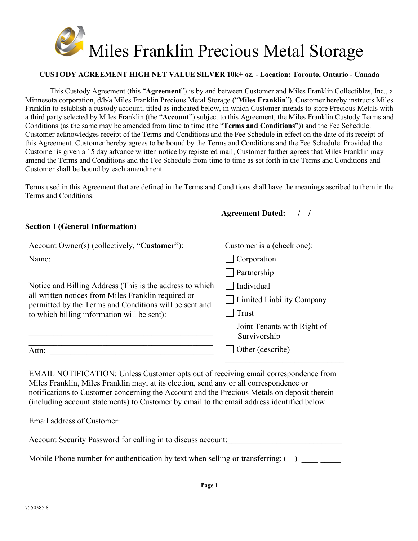

### **CUSTODY AGREEMENT HIGH NET VALUE SILVER 10k+ oz. - Location: Toronto, Ontario - Canada**

This Custody Agreement (this "**Agreement**") is by and between Customer and Miles Franklin Collectibles, Inc., a Minnesota corporation, d/b/a Miles Franklin Precious Metal Storage ("**Miles Franklin**"). Customer hereby instructs Miles Franklin to establish a custody account, titled as indicated below, in which Customer intends to store Precious Metals with a third party selected by Miles Franklin (the "**Account**") subject to this Agreement, the Miles Franklin Custody Terms and Conditions (as the same may be amended from time to time (the "**Terms and Conditions**")) and the Fee Schedule. Customer acknowledges receipt of the Terms and Conditions and the Fee Schedule in effect on the date of its receipt of this Agreement. Customer hereby agrees to be bound by the Terms and Conditions and the Fee Schedule. Provided the Customer is given a 15 day advance written notice by registered mail, Customer further agrees that Miles Franklin may amend the Terms and Conditions and the Fee Schedule from time to time as set forth in the Terms and Conditions and Customer shall be bound by each amendment.

Terms used in this Agreement that are defined in the Terms and Conditions shall have the meanings ascribed to them in the Terms and Conditions.

### **Agreement Dated: / /**

### **Section I (General Information)**

| Account Owner(s) (collectively, "Customer"):                                                                                                                                                                                                                                                                                                                               | Customer is a (check one):                  |  |  |
|----------------------------------------------------------------------------------------------------------------------------------------------------------------------------------------------------------------------------------------------------------------------------------------------------------------------------------------------------------------------------|---------------------------------------------|--|--|
| Name:                                                                                                                                                                                                                                                                                                                                                                      | Corporation                                 |  |  |
|                                                                                                                                                                                                                                                                                                                                                                            | Partnership                                 |  |  |
| Notice and Billing Address (This is the address to which<br>all written notices from Miles Franklin required or<br>permitted by the Terms and Conditions will be sent and<br>to which billing information will be sent):                                                                                                                                                   | Individual                                  |  |  |
|                                                                                                                                                                                                                                                                                                                                                                            | <b>Limited Liability Company</b>            |  |  |
|                                                                                                                                                                                                                                                                                                                                                                            | Trust                                       |  |  |
|                                                                                                                                                                                                                                                                                                                                                                            | Joint Tenants with Right of<br>Survivorship |  |  |
| Attn:                                                                                                                                                                                                                                                                                                                                                                      | Other (describe)                            |  |  |
| EMAIL NOTIFICATION: Unless Customer opts out of receiving email correspondence from<br>Miles Franklin, Miles Franklin may, at its election, send any or all correspondence or<br>notifications to Customer concerning the Account and the Precious Metals on deposit therein<br>(including account statements) to Customer by email to the email address identified below: |                                             |  |  |
| Email address of Customer:                                                                                                                                                                                                                                                                                                                                                 |                                             |  |  |
| Account Security Password for calling in to discuss account:                                                                                                                                                                                                                                                                                                               |                                             |  |  |

Mobile Phone number for authentication by text when selling or transferring:  $\qquad \qquad$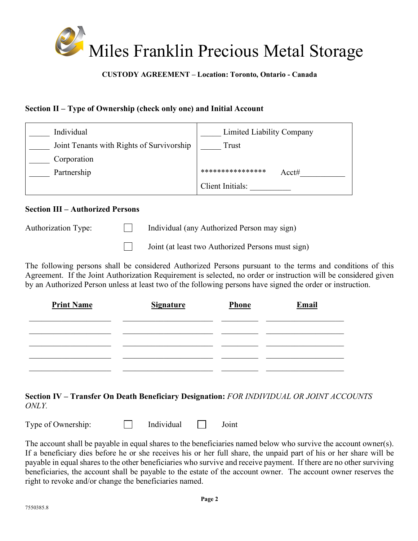

## **CUSTODY AGREEMENT – Location: Toronto, Ontario - Canada**

# **Section II – Type of Ownership (check only one) and Initial Account**

| Individual                                | Limited Liability Company |
|-------------------------------------------|---------------------------|
| Joint Tenants with Rights of Survivorship | Trust                     |
| Corporation                               |                           |
| Partnership                               | ****************<br>Acct# |
|                                           | Client Initials:          |

### **Section III – Authorized Persons**

Authorization Type: Individual (any Authorized Person may sign)

 $\Box$ Joint (at least two Authorized Persons must sign)

The following persons shall be considered Authorized Persons pursuant to the terms and conditions of this Agreement. If the Joint Authorization Requirement is selected, no order or instruction will be considered given by an Authorized Person unless at least two of the following persons have signed the order or instruction.

| <b>Print Name</b> | <b>Signature</b> | Phone | Email |
|-------------------|------------------|-------|-------|
|                   |                  |       |       |
|                   |                  |       |       |
|                   |                  |       |       |
|                   |                  |       |       |

# **Section IV – Transfer On Death Beneficiary Designation:** *FOR INDIVIDUAL OR JOINT ACCOUNTS ONLY.*

Type of Ownership:  $\Box$  Individual  $\Box$  Joint

The account shall be payable in equal shares to the beneficiaries named below who survive the account owner(s). If a beneficiary dies before he or she receives his or her full share, the unpaid part of his or her share will be payable in equal shares to the other beneficiaries who survive and receive payment. If there are no other surviving beneficiaries, the account shall be payable to the estate of the account owner. The account owner reserves the right to revoke and/or change the beneficiaries named.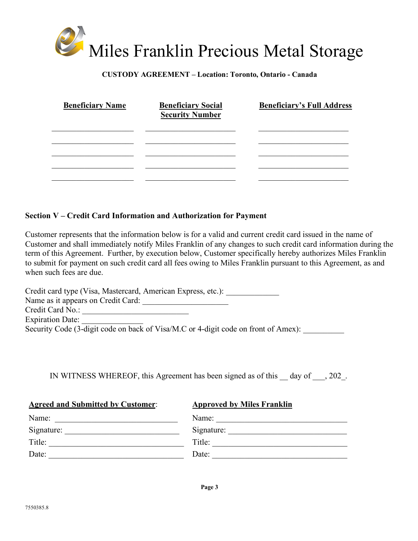# Miles Franklin Precious Metal Storage

### **CUSTODY AGREEMENT – Location: Toronto, Ontario - Canada**

| <b>Beneficiary Name</b> | <b>Beneficiary Social</b><br><b>Security Number</b> | <b>Beneficiary's Full Address</b> |
|-------------------------|-----------------------------------------------------|-----------------------------------|
|                         |                                                     |                                   |
|                         |                                                     |                                   |
|                         |                                                     |                                   |

## **Section V – Credit Card Information and Authorization for Payment**

Customer represents that the information below is for a valid and current credit card issued in the name of Customer and shall immediately notify Miles Franklin of any changes to such credit card information during the term of this Agreement. Further, by execution below, Customer specifically hereby authorizes Miles Franklin to submit for payment on such credit card all fees owing to Miles Franklin pursuant to this Agreement, as and when such fees are due.

Credit card type (Visa, Mastercard, American Express, etc.): Name as it appears on Credit Card: \_\_\_\_\_\_\_\_\_\_\_\_\_\_\_\_\_\_\_\_\_ Credit Card No.: \_\_\_\_\_\_\_\_\_\_\_\_\_\_\_\_\_\_\_\_\_\_\_\_\_\_ Expiration Date: Security Code  $(3$ -digit code on back of Visa/M.C or 4-digit code on front of Amex):

IN WITNESS WHEREOF, this Agreement has been signed as of this \_\_ day of \_\_\_, 202\_.

| <b>Agreed and Submitted by Customer:</b> | <b>Approved by Miles Franklin</b> |
|------------------------------------------|-----------------------------------|
| Name:                                    | Name:                             |
| Signature:                               | Signature:                        |
| Title:                                   | Title:                            |
| Date:                                    | Date:                             |
|                                          |                                   |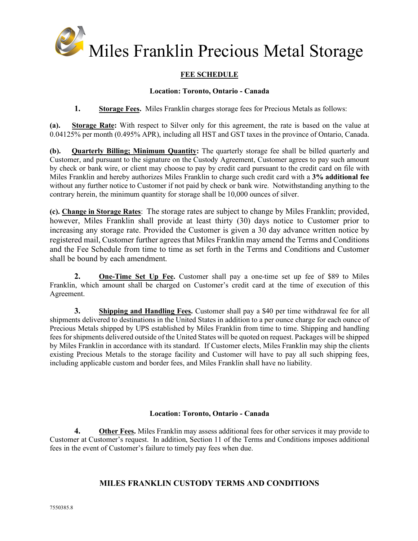

### **FEE SCHEDULE**

### **Location: Toronto, Ontario - Canada**

**1. Storage Fees.** Miles Franklin charges storage fees for Precious Metals as follows:

**(a). Storage Rate:** With respect to Silver only for this agreement, the rate is based on the value at 0.04125% per month (0.495% APR), including all HST and GST taxes in the province of Ontario, Canada.

**(b). Quarterly Billing; Minimum Quantity:** The quarterly storage fee shall be billed quarterly and Customer, and pursuant to the signature on the Custody Agreement, Customer agrees to pay such amount by check or bank wire, or client may choose to pay by credit card pursuant to the credit card on file with Miles Franklin and hereby authorizes Miles Franklin to charge such credit card with a **3% additional fee** without any further notice to Customer if not paid by check or bank wire. Notwithstanding anything to the contrary herein, the minimum quantity for storage shall be 10,000 ounces of silver.

**(c). Change in Storage Rates**: The storage rates are subject to change by Miles Franklin; provided, however, Miles Franklin shall provide at least thirty (30) days notice to Customer prior to increasing any storage rate. Provided the Customer is given a 30 day advance written notice by registered mail, Customer further agrees that Miles Franklin may amend the Terms and Conditions and the Fee Schedule from time to time as set forth in the Terms and Conditions and Customer shall be bound by each amendment.

**2. One-Time Set Up Fee.** Customer shall pay a one-time set up fee of \$89 to Miles Franklin, which amount shall be charged on Customer's credit card at the time of execution of this Agreement.

**3. Shipping and Handling Fees.** Customer shall pay a \$40 per time withdrawal fee for all shipments delivered to destinations in the United States in addition to a per ounce charge for each ounce of Precious Metals shipped by UPS established by Miles Franklin from time to time. Shipping and handling fees for shipments delivered outside of the United States will be quoted on request. Packages will be shipped by Miles Franklin in accordance with its standard. If Customer elects, Miles Franklin may ship the clients existing Precious Metals to the storage facility and Customer will have to pay all such shipping fees, including applicable custom and border fees, and Miles Franklin shall have no liability.

### **Location: Toronto, Ontario - Canada**

**4. Other Fees.** Miles Franklin may assess additional fees for other services it may provide to Customer at Customer's request. In addition, Section 11 of the Terms and Conditions imposes additional fees in the event of Customer's failure to timely pay fees when due.

### **MILES FRANKLIN CUSTODY TERMS AND CONDITIONS**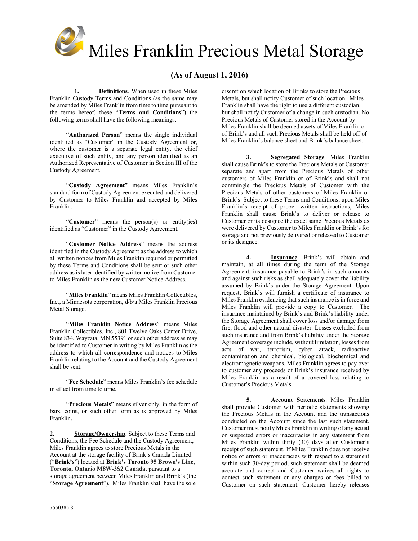

### **(As of August 1, 2016)**

**1. Definitions**. When used in these Miles Franklin Custody Terms and Conditions (as the same may be amended by Miles Franklin from time to time pursuant to the terms hereof, these "**Terms and Conditions**") the following terms shall have the following meanings:

"**Authorized Person**" means the single individual identified as "Customer" in the Custody Agreement or, where the customer is a separate legal entity, the chief executive of such entity, and any person identified as an Authorized Representative of Customer in Section III of the Custody Agreement.

"**Custody Agreement**" means Miles Franklin's standard form of Custody Agreement executed and delivered by Customer to Miles Franklin and accepted by Miles Franklin.

"**Customer**" means the person(s) or entity(ies) identified as "Customer" in the Custody Agreement.

"**Customer Notice Address**" means the address identified in the Custody Agreement as the address to which all written notices from Miles Franklin required or permitted by these Terms and Conditions shall be sent or such other address as is later identified by written notice from Customer to Miles Franklin as the new Customer Notice Address.

"**Miles Franklin**" means Miles Franklin Collectibles, Inc., a Minnesota corporation, d/b/a Miles Franklin Precious Metal Storage.

"**Miles Franklin Notice Address**" means Miles Franklin Collectibles, Inc., 801 Twelve Oaks Center Drive, Suite 834, Wayzata, MN 55391 or such other address as may be identified to Customer in writing by Miles Franklin as the address to which all correspondence and notices to Miles Franklin relating to the Account and the Custody Agreement shall be sent.

"**Fee Schedule**" means Miles Franklin's fee schedule in effect from time to time.

"**Precious Metals**" means silver only, in the form of bars, coins, or such other form as is approved by Miles Franklin.

**2. Storage/Ownership**. Subject to these Terms and Conditions, the Fee Schedule and the Custody Agreement, Miles Franklin agrees to store Precious Metals in the Account at the storage facility of Brink's Canada Limited ("**Brink's**") located at **Brink's Toronto 95 Brown's Line, Toronto, Ontario M8W-3S2 Canada**, pursuant to a storage agreement between Miles Franklin and Brink's (the "**Storage Agreement**"). Miles Franklin shall have the sole discretion which location of Brinks to store the Precious Metals, but shall notify Customer of such location. Miles Franklin shall have the right to use a different custodian, but shall notify Customer of a change in such custodian. No Precious Metals of Customer stored in the Account by Miles Franklin shall be deemed assets of Miles Franklin or of Brink's and all such Precious Metals shall be held off of Miles Franklin's balance sheet and Brink's balance sheet.

**3. Segregated Storage**. Miles Franklin shall cause Brink's to store the Precious Metals of Customer separate and apart from the Precious Metals of other customers of Miles Franklin or of Brink's and shall not commingle the Precious Metals of Customer with the Precious Metals of other customers of Miles Franklin or Brink's. Subject to these Terms and Conditions, upon Miles Franklin's receipt of proper written instructions, Miles Franklin shall cause Brink's to deliver or release to Customer or its designee the exact same Precious Metals as were delivered by Customer to Miles Franklin or Brink's for storage and not previously delivered or released to Customer or its designee.

**4. Insurance**. Brink's will obtain and maintain, at all times during the term of the Storage Agreement, insurance payable to Brink's in such amounts and against such risks as shall adequately cover the liability assumed by Brink's under the Storage Agreement. Upon request, Brink's will furnish a certificate of insurance to Miles Franklin evidencing that such insurance is in force and Miles Franklin will provide a copy to Customer. The insurance maintained by Brink's and Brink's liability under the Storage Agreement shall cover loss and/or damage from fire, flood and other natural disaster. Losses excluded from such insurance and from Brink's liability under the Storage Agreement coverage include, without limitation, losses from acts of war, terrorism, cyber attack, radioactive contamination and chemical, biological, biochemical and electromagnetic weapons. Miles Franklin agrees to pay over to customer any proceeds of Brink's insurance received by Miles Franklin as a result of a covered loss relating to Customer's Precious Metals.

**5. Account Statements**. Miles Franklin shall provide Customer with periodic statements showing the Precious Metals in the Account and the transactions conducted on the Account since the last such statement. Customer must notify Miles Franklin in writing of any actual or suspected errors or inaccuracies in any statement from Miles Franklin within thirty (30) days after Customer's receipt of such statement. If Miles Franklin does not receive notice of errors or inaccuracies with respect to a statement within such 30-day period, such statement shall be deemed accurate and correct and Customer waives all rights to contest such statement or any charges or fees billed to Customer on such statement. Customer hereby releases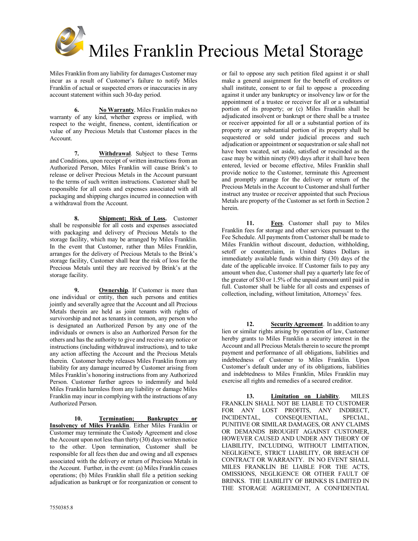

Miles Franklin from any liability for damages Customer may incur as a result of Customer's failure to notify Miles Franklin of actual or suspected errors or inaccuracies in any account statement within such 30-day period.

**6. No Warranty**. Miles Franklin makes no warranty of any kind, whether express or implied, with respect to the weight, fineness, content, identification or value of any Precious Metals that Customer places in the Account.

**7. Withdrawal**. Subject to these Terms and Conditions, upon receipt of written instructions from an Authorized Person, Miles Franklin will cause Brink's to release or deliver Precious Metals in the Account pursuant to the terms of such written instructions. Customer shall be responsible for all costs and expenses associated with all packaging and shipping charges incurred in connection with a withdrawal from the Account.

**8. Shipment; Risk of Loss.** Customer shall be responsible for all costs and expenses associated with packaging and delivery of Precious Metals to the storage facility, which may be arranged by Miles Franklin. In the event that Customer, rather than Miles Franklin, arranges for the delivery of Precious Metals to the Brink's storage facility, Customer shall bear the risk of loss for the Precious Metals until they are received by Brink's at the storage facility.

**9. Ownership**. If Customer is more than one individual or entity, then such persons and entities jointly and severally agree that the Account and all Precious Metals therein are held as joint tenants with rights of survivorship and not as tenants in common, any person who is designated an Authorized Person by any one of the individuals or owners is also an Authorized Person for the others and has the authority to give and receive any notice or instructions (including withdrawal instructions), and to take any action affecting the Account and the Precious Metals therein. Customer hereby releases Miles Franklin from any liability for any damage incurred by Customer arising from Miles Franklin's honoring instructions from any Authorized Person. Customer further agrees to indemnify and hold Miles Franklin harmless from any liability or damage Miles Franklin may incur in complying with the instructions of any Authorized Person.

**10. Termination; Bankruptcy or Insolvency of Miles Franklin**. Either Miles Franklin or Customer may terminate the Custody Agreement and close the Account upon not less than thirty (30) days written notice to the other. Upon termination, Customer shall be responsible for all fees then due and owing and all expenses associated with the delivery or return of Precious Metals in the Account. Further, in the event: (a) Miles Franklin ceases operations; (b) Miles Franklin shall file a petition seeking adjudication as bankrupt or for reorganization or consent to or fail to oppose any such petition filed against it or shall make a general assignment for the benefit of creditors or shall institute, consent to or fail to oppose a proceeding against it under any bankruptcy or insolvency law or for the appointment of a trustee or receiver for all or a substantial portion of its property; or (c) Miles Franklin shall be adjudicated insolvent or bankrupt or there shall be a trustee or receiver appointed for all or a substantial portion of its property or any substantial portion of its property shall be sequestered or sold under judicial process and such adjudication or appointment or sequestration or sale shall not have been vacated, set aside, satisfied or rescinded as the case may be within ninety (90) days after it shall have been entered, levied or become effective, Miles Franklin shall provide notice to the Customer, terminate this Agreement and promptly arrange for the delivery or return of the Precious Metals in the Account to Customer and shall further instruct any trustee or receiver appointed that such Precious Metals are property of the Customer as set forth in Section 2 herein.

**11. Fees**. Customer shall pay to Miles Franklin fees for storage and other services pursuant to the Fee Schedule. All payments from Customer shall be made to Miles Franklin without discount, deduction, withholding, setoff or counterclaim, in United States Dollars in immediately available funds within thirty (30) days of the date of the applicable invoice. If Customer fails to pay any amount when due, Customer shall pay a quarterly late fee of the greater of \$30 or 1.5% of the unpaid amount until paid in full. Customer shall be liable for all costs and expenses of collection, including, without limitation, Attorneys' fees.

**12. Security Agreement**. In addition to any lien or similar rights arising by operation of law, Customer hereby grants to Miles Franklin a security interest in the Account and all Precious Metals therein to secure the prompt payment and performance of all obligations, liabilities and indebtedness of Customer to Miles Franklin. Upon Customer's default under any of its obligations, liabilities and indebtedness to Miles Franklin, Miles Franklin may exercise all rights and remedies of a secured creditor.

**13. Limitation on Liability**. MILES FRANKLIN SHALL NOT BE LIABLE TO CUSTOMER FOR ANY LOST PROFITS, ANY INDIRECT, INCIDENTAL, CONSEQUENTIAL, SPECIAL, PUNITIVE OR SIMILAR DAMAGES, OR ANY CLAIMS OR DEMANDS BROUGHT AGAINST CUSTOMER. HOWEVER CAUSED AND UNDER ANY THEORY OF LIABILITY, INCLUDING, WITHOUT LIMITATION, NEGLIGENCE, STRICT LIABILITY, OR BREACH OF CONTRACT OR WARRANTY. IN NO EVENT SHALL MILES FRANKLIN BE LIABLE FOR THE ACTS, OMISSIONS, NEGLIGENCE OR OTHER FAULT OF BRINKS. THE LIABILITY OF BRINKS IS LIMITED IN THE STORAGE AGREEMENT, A CONFIDENTIAL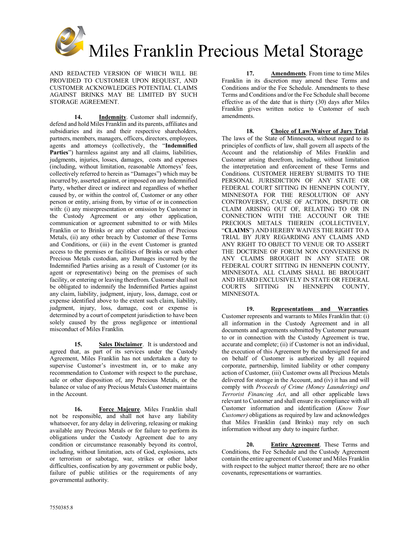

AND REDACTED VERSION OF WHICH WILL BE PROVIDED TO CUSTOMER UPON REQUEST, AND CUSTOMER ACKNOWLEDGES POTENTIAL CLAIMS AGAINST BRINKS MAY BE LIMITED BY SUCH STORAGE AGREEMENT.

**14. Indemnity**. Customer shall indemnify, defend and hold Miles Franklin and its parents, affiliates and subsidiaries and its and their respective shareholders, partners, members, managers, officers, directors, employees, agents and attorneys (collectively, the "**Indemnified**  Parties") harmless against any and all claims, liabilities, judgments, injuries, losses, damages, costs and expenses (including, without limitation, reasonable Attorneys' fees, collectively referred to herein as "Damages") which may be incurred by, asserted against, or imposed on any Indemnified Party, whether direct or indirect and regardless of whether caused by, or within the control of, Customer or any other person or entity, arising from, by virtue of or in connection with: (i) any misrepresentation or omission by Customer in the Custody Agreement or any other application, communication or agreement submitted to or with Miles Franklin or to Brinks or any other custodian of Precious Metals, (ii) any other breach by Customer of these Terms and Conditions, or (iii) in the event Customer is granted access to the premises or facilities of Brinks or such other Precious Metals custodian, any Damages incurred by the Indemnified Parties arising as a result of Customer (or its agent or representative) being on the premises of such facility, or entering or leaving therefrom. Customer shall not be obligated to indemnify the Indemnified Parties against any claim, liability, judgment, injury, loss, damage, cost or expense identified above to the extent such claim, liability, judgment, injury, loss, damage, cost or expense is determined by a court of competent jurisdiction to have been solely caused by the gross negligence or intentional misconduct of Miles Franklin.

**15. Sales Disclaimer**. It is understood and agreed that, as part of its services under the Custody Agreement, Miles Franklin has not undertaken a duty to supervise Customer's investment in, or to make any recommendation to Customer with respect to the purchase, sale or other disposition of, any Precious Metals, or the balance or value of any Precious Metals Customer maintains in the Account.

**16. Force Majeure**. Miles Franklin shall not be responsible, and shall not have any liability whatsoever, for any delay in delivering, releasing or making available any Precious Metals or for failure to perform its obligations under the Custody Agreement due to any condition or circumstance reasonably beyond its control, including, without limitation, acts of God, explosions, acts or terrorism or sabotage, war, strikes or other labor difficulties, confiscation by any government or public body, failure of public utilities or the requirements of any governmental authority.

**17. Amendments**. From time to time Miles Franklin in its discretion may amend these Terms and Conditions and/or the Fee Schedule. Amendments to these Terms and Conditions and/or the Fee Schedule shall become effective as of the date that is thirty (30) days after Miles Franklin gives written notice to Customer of such amendments.

**18. Choice of Law/Waiver of Jury Trial**. The laws of the State of Minnesota, without regard to its principles of conflicts of law, shall govern all aspects of the Account and the relationship of Miles Franklin and Customer arising therefrom, including, without limitation the interpretation and enforcement of these Terms and Conditions. CUSTOMER HEREBY SUBMITS TO THE PERSONAL JURISDICTION OF ANY STATE OR FEDERAL COURT SITTING IN HENNEPIN COUNTY, MINNESOTA FOR THE RESOLUTION OF ANY CONTROVERSY, CAUSE OF ACTION, DISPUTE OR CLAIM ARISING OUT OF, RELATING TO OR IN CONNECTION WITH THE ACCOUNT OR THE PRECIOUS METALS THEREIN (COLLECTIVELY, "**CLAIMS**") AND HEREBY WAIVES THE RIGHT TO A TRIAL BY JURY REGARDING ANY CLAIMS AND ANY RIGHT TO OBJECT TO VENUE OR TO ASSERT THE DOCTRINE OF FORUM NON CONVENIENS IN ANY CLAIMS BROUGHT IN ANY STATE OR FEDERAL COURT SITTING IN HENNEPIN COUNTY, MINNESOTA. ALL CLAIMS SHALL BE BROUGHT AND HEARD EXCLUSIVELY IN STATE OR FEDERAL COURTS SITTING IN HENNEPIN COUNTY, MINNESOTA.

**19. Representations and Warranties**. Customer represents and warrants to Miles Franklin that: (i) all information in the Custody Agreement and in all documents and agreements submitted by Customer pursuant to or in connection with the Custody Agreement is true, accurate and complete; (ii) if Customer is not an individual, the execution of this Agreement by the undersigned for and on behalf of Customer is authorized by all required corporate, partnership, limited liability or other company action of Customer, (iii) Customer owns all Precious Metals delivered for storage in the Account, and (iv) it has and will comply with *Proceeds of Crime (Money Laundering) and Terrorist Financing Act*, and all other applicable laws relevant to Customer and shall ensure its compliance with all Customer information and identification (*Know Your Customer)* obligations as required by law and acknowledges that Miles Franklin (and Brinks) may rely on such information without any duty to inquire further.

**20. Entire Agreement**. These Terms and Conditions, the Fee Schedule and the Custody Agreement contain the entire agreement of Customer and Miles Franklin with respect to the subject matter thereof; there are no other covenants, representations or warranties.